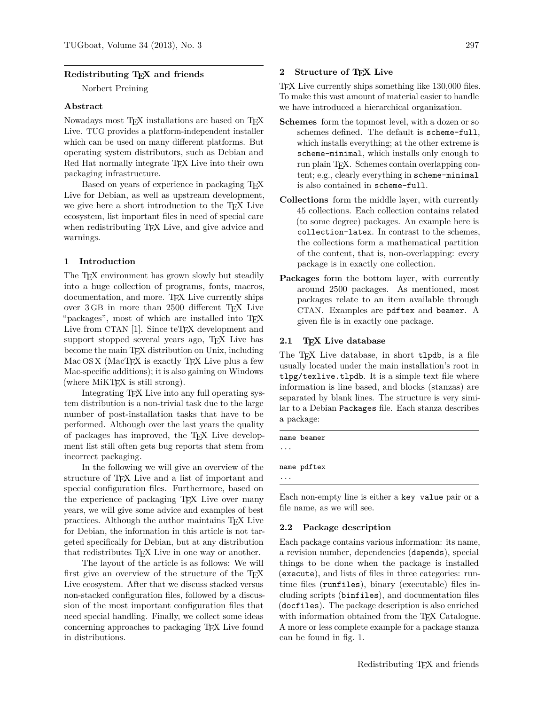## **Redistributing TEX and friends**

Norbert Preining

### **Abstract**

Nowadays most T<sub>E</sub>X installations are based on T<sub>E</sub>X Live. TUG provides a platform-independent installer which can be used on many different platforms. But operating system distributors, such as Debian and Red Hat normally integrate T<sub>F</sub>X Live into their own packaging infrastructure.

Based on years of experience in packaging T<sub>EX</sub> Live for Debian, as well as upstream development, we give here a short introduction to the TEX Live ecosystem, list important files in need of special care when redistributing T<sub>EX</sub> Live, and give advice and warnings.

### **1 Introduction**

The T<sub>F</sub>X environment has grown slowly but steadily into a huge collection of programs, fonts, macros, documentation, and more. T<sub>EX</sub> Live currently ships over 3 GB in more than 2500 different TEX Live "packages", most of which are installed into TEX Live from CTAN [1]. Since teT<sub>F</sub>X development and support stopped several years ago, T<sub>F</sub>X Live has become the main T<sub>EX</sub> distribution on Unix, including Mac OS X (MacTFX is exactly TEX Live plus a few Mac-specific additions); it is also gaining on Windows (where MiKT<sub>EX</sub> is still strong).

Integrating TEX Live into any full operating system distribution is a non-trivial task due to the large number of post-installation tasks that have to be performed. Although over the last years the quality of packages has improved, the TEX Live development list still often gets bug reports that stem from incorrect packaging.

In the following we will give an overview of the structure of T<sub>F</sub>X Live and a list of important and special configuration files. Furthermore, based on the experience of packaging T<sub>E</sub>X Live over many years, we will give some advice and examples of best practices. Although the author maintains TEX Live for Debian, the information in this article is not targeted specifically for Debian, but at any distribution that redistributes TEX Live in one way or another.

The layout of the article is as follows: We will first give an overview of the structure of the TFX Live ecosystem. After that we discuss stacked versus non-stacked configuration files, followed by a discussion of the most important configuration files that need special handling. Finally, we collect some ideas concerning approaches to packaging TEX Live found in distributions.

## **2 Structure of TEX Live**

TEX Live currently ships something like 130,000 files. To make this vast amount of material easier to handle we have introduced a hierarchical organization.

- **Schemes** form the topmost level, with a dozen or so schemes defined. The default is scheme-full, which installs everything; at the other extreme is scheme-minimal, which installs only enough to run plain TEX. Schemes contain overlapping content; e.g., clearly everything in scheme-minimal is also contained in scheme-full.
- **Collections** form the middle layer, with currently 45 collections. Each collection contains related (to some degree) packages. An example here is collection-latex. In contrast to the schemes, the collections form a mathematical partition of the content, that is, non-overlapping: every package is in exactly one collection.
- **Packages** form the bottom layer, with currently around 2500 packages. As mentioned, most packages relate to an item available through CTAN. Examples are pdftex and beamer. A given file is in exactly one package.

## **2.1 TEX Live database**

The T<sub>E</sub>X Live database, in short tlpdb, is a file usually located under the main installation's root in tlpg/texlive.tlpdb. It is a simple text file where information is line based, and blocks (stanzas) are separated by blank lines. The structure is very similar to a Debian Packages file. Each stanza describes a package:

name beamer

...

...

name pdftex

Each non-empty line is either a key value pair or a file name, as we will see.

#### **2.2 Package description**

Each package contains various information: its name, a revision number, dependencies (depends), special things to be done when the package is installed (execute), and lists of files in three categories: runtime files (runfiles), binary (executable) files including scripts (binfiles), and documentation files (docfiles). The package description is also enriched with information obtained from the TEX Catalogue. A more or less complete example for a package stanza can be found in fig. 1.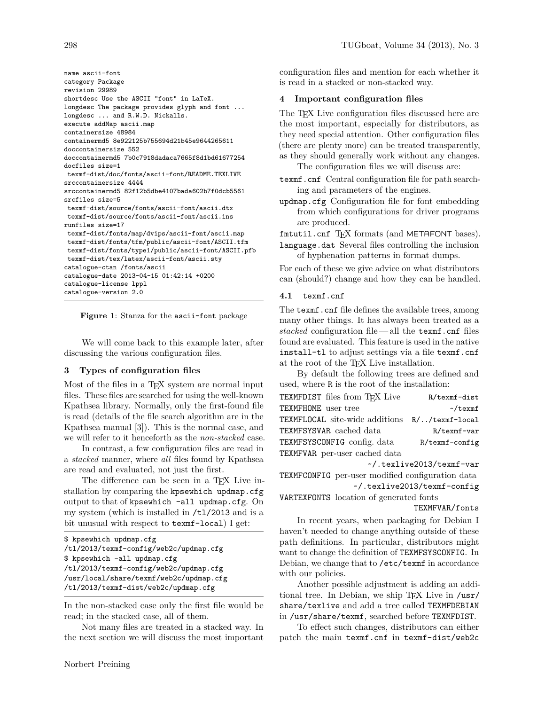name ascii-font category Package revision 29989 shortdesc Use the ASCII "font" in LaTeX. longdesc The package provides glyph and font ... longdesc ... and R.W.D. Nickalls. execute addMap ascii.map containersize 48984 containermd5 8e922125b755694d21b45e9644265611 doccontainersize 552 doccontainermd5 7b0c7918dadaca7665f8d1bd61677254 docfiles size=1 texmf-dist/doc/fonts/ascii-font/README.TEXLIVE srccontainersize 4444 srccontainermd5 82f12b5dbe4107bada602b7f0dcb5561 srcfiles size=5 texmf-dist/source/fonts/ascii-font/ascii.dtx texmf-dist/source/fonts/ascii-font/ascii.ins runfiles size=17 texmf-dist/fonts/map/dvips/ascii-font/ascii.map texmf-dist/fonts/tfm/public/ascii-font/ASCII.tfm texmf-dist/fonts/type1/public/ascii-font/ASCII.pfb texmf-dist/tex/latex/ascii-font/ascii.sty catalogue-ctan /fonts/ascii catalogue-date 2013-04-15 01:42:14 +0200 catalogue-license lppl catalogue-version 2.0

**Figure 1**: Stanza for the ascii-font package

We will come back to this example later, after discussing the various configuration files.

#### **3 Types of configuration files**

Most of the files in a T<sub>EX</sub> system are normal input files. These files are searched for using the well-known Kpathsea library. Normally, only the first-found file is read (details of the file search algorithm are in the Kpathsea manual [3]). This is the normal case, and we will refer to it henceforth as the *non-stacked* case.

In contrast, a few configuration files are read in a *stacked* manner, where *all* files found by Kpathsea are read and evaluated, not just the first.

The difference can be seen in a TFX Live installation by comparing the kpsewhich updmap.cfg output to that of kpsewhich -all updmap.cfg. On my system (which is installed in /tl/2013 and is a bit unusual with respect to texmf-local) I get:

```
$ kpsewhich updmap.cfg
/tl/2013/texmf-config/web2c/updmap.cfg
$ kpsewhich -all updmap.cfg
/tl/2013/texmf-config/web2c/updmap.cfg
/usr/local/share/texmf/web2c/updmap.cfg
/tl/2013/texmf-dist/web2c/updmap.cfg
```
In the non-stacked case only the first file would be read; in the stacked case, all of them.

Not many files are treated in a stacked way. In the next section we will discuss the most important configuration files and mention for each whether it is read in a stacked or non-stacked way.

#### **4 Important configuration files**

The T<sub>EX</sub> Live configuration files discussed here are the most important, especially for distributors, as they need special attention. Other configuration files (there are plenty more) can be treated transparently, as they should generally work without any changes.

The configuration files we will discuss are:

- texmf.cnf Central configuration file for path searching and parameters of the engines.
- updmap.cfg Configuration file for font embedding from which configurations for driver programs are produced.

fmtutil.cnf TFX formats (and METAFONT bases). language.dat Several files controlling the inclusion

of hyphenation patterns in format dumps.

For each of these we give advice on what distributors can (should?) change and how they can be handled.

#### **4.1** texmf.cnf

The **texmf**.cnf file defines the available trees, among many other things. It has always been treated as a *stacked* configuration file— all the texmf.cnf files found are evaluated. This feature is used in the native install-tl to adjust settings via a file texmf.cnf at the root of the TEX Live installation.

By default the following trees are defined and used, where R is the root of the installation:

| R/texmf-dist                                  |
|-----------------------------------------------|
| $\sim$ /texmf                                 |
| TEXMFLOCAL site-wide additions R//texmf-local |
| $R$ /texmf-var                                |
| R/texmf-config                                |
|                                               |
|                                               |

~/.texlive2013/texmf-var

TEXMFCONFIG per-user modified configuration data ~/.texlive2013/texmf-config

VARTEXFONTS location of generated fonts TEXMFVAR/fonts

In recent years, when packaging for Debian I haven't needed to change anything outside of these path definitions. In particular, distributors might want to change the definition of TEXMFSYSCONFIG. In Debian, we change that to /etc/texmf in accordance with our policies.

Another possible adjustment is adding an additional tree. In Debian, we ship TFX Live in /usr/ share/texlive and add a tree called TEXMFDEBIAN in /usr/share/texmf, searched before TEXMFDIST.

To effect such changes, distributors can either patch the main texmf.cnf in texmf-dist/web2c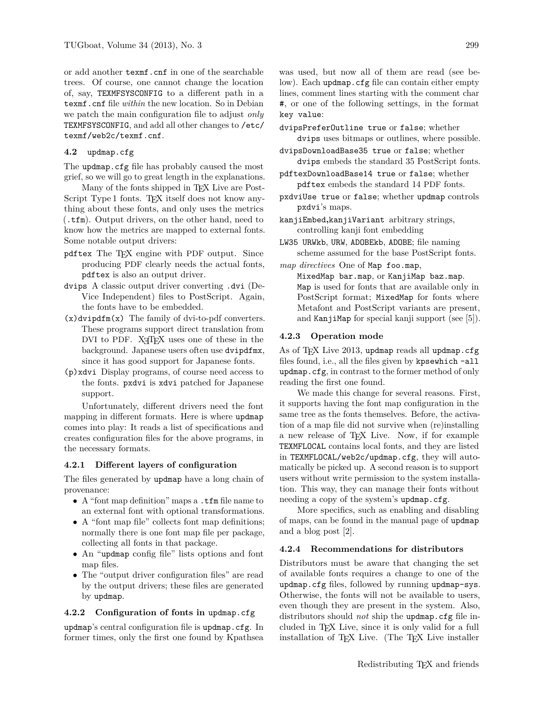or add another texmf.cnf in one of the searchable trees. Of course, one cannot change the location of, say, TEXMFSYSCONFIG to a different path in a texmf.cnf file *within* the new location. So in Debian we patch the main configuration file to adjust *only* TEXMFSYSCONFIG, and add all other changes to /etc/ texmf/web2c/texmf.cnf.

### **4.2** updmap.cfg

The updmap.cfg file has probably caused the most grief, so we will go to great length in the explanations.

Many of the fonts shipped in T<sub>EX</sub> Live are Post-Script Type 1 fonts. T<sub>F</sub>X itself does not know anything about these fonts, and only uses the metrics (.tfm). Output drivers, on the other hand, need to know how the metrics are mapped to external fonts. Some notable output drivers:

- pdftex The TEX engine with PDF output. Since producing PDF clearly needs the actual fonts, pdftex is also an output driver.
- dvips A classic output driver converting .dvi (De-Vice Independent) files to PostScript. Again, the fonts have to be embedded.
- (x)dvipdfm(x) The family of dvi-to-pdf converters. These programs support direct translation from DVI to PDF. X<sub>T</sub>T<sub>F</sub>X uses one of these in the background. Japanese users often use dvipdfmx, since it has good support for Japanese fonts.
- (p)xdvi Display programs, of course need access to the fonts. pxdvi is xdvi patched for Japanese support.

Unfortunately, different drivers need the font mapping in different formats. Here is where updmap comes into play: It reads a list of specifications and creates configuration files for the above programs, in the necessary formats.

### **4.2.1 Different layers of configuration**

The files generated by updmap have a long chain of provenance:

- A "font map definition" maps a .tfm file name to an external font with optional transformations.
- A "font map file" collects font map definitions; normally there is one font map file per package, collecting all fonts in that package.
- An "updmap config file" lists options and font map files.
- The "output driver configuration files" are read by the output drivers; these files are generated by updmap.

## **4.2.2 Configuration of fonts in** updmap.cfg

updmap's central configuration file is updmap.cfg. In former times, only the first one found by Kpathsea was used, but now all of them are read (see below). Each updmap.cfg file can contain either empty lines, comment lines starting with the comment char #, or one of the following settings, in the format key value:

dvipsPreferOutline true or false; whether dvips uses bitmaps or outlines, where possible.

- dvipsDownloadBase35 true or false; whether dvips embeds the standard 35 PostScript fonts.
- pdftexDownloadBase14 true or false; whether pdftex embeds the standard 14 PDF fonts.
- pxdviUse true or false; whether updmap controls pxdvi's maps.
- kanjiEmbed**,**kanjiVariant arbitrary strings, controlling kanji font embedding
- LW35 URWkb, URW, ADOBEkb, ADOBE; file naming scheme assumed for the base PostScript fonts.

*map directives* One of Map foo.map,

MixedMap bar.map, or KanjiMap baz.map. Map is used for fonts that are available only in PostScript format; MixedMap for fonts where Metafont and PostScript variants are present, and KanjiMap for special kanji support (see  $[5]$ ).

### **4.2.3 Operation mode**

As of TFX Live 2013, updmap reads all updmap.cfg files found, i.e., all the files given by kpsewhich -all updmap.cfg, in contrast to the former method of only reading the first one found.

We made this change for several reasons. First, it supports having the font map configuration in the same tree as the fonts themselves. Before, the activation of a map file did not survive when (re)installing a new release of TEX Live. Now, if for example TEXMFLOCAL contains local fonts, and they are listed in TEXMFLOCAL/web2c/updmap.cfg, they will automatically be picked up. A second reason is to support users without write permission to the system installation. This way, they can manage their fonts without needing a copy of the system's updmap.cfg.

More specifics, such as enabling and disabling of maps, can be found in the manual page of updmap and a blog post [2].

#### **4.2.4 Recommendations for distributors**

Distributors must be aware that changing the set of available fonts requires a change to one of the updmap.cfg files, followed by running updmap-sys. Otherwise, the fonts will not be available to users, even though they are present in the system. Also, distributors should *not* ship the updmap.cfg file included in TEX Live, since it is only valid for a full installation of TFX Live. (The TFX Live installer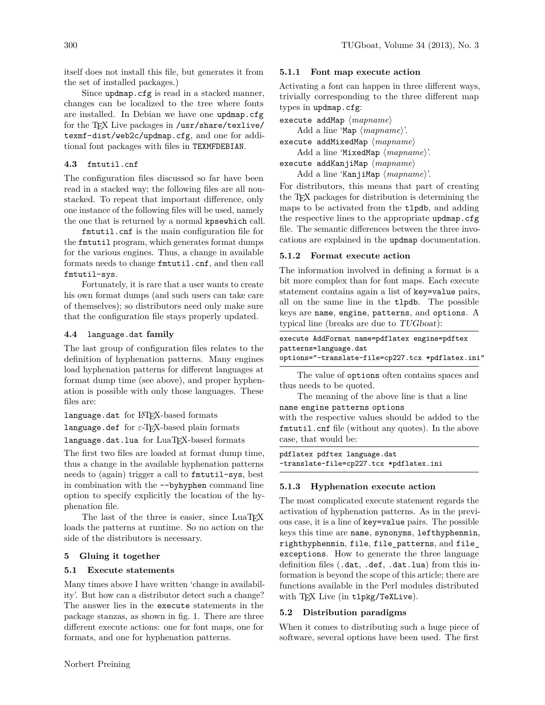itself does not install this file, but generates it from the set of installed packages.)

Since updmap.cfg is read in a stacked manner, changes can be localized to the tree where fonts are installed. In Debian we have one updmap.cfg for the TEX Live packages in /usr/share/texlive/ texmf-dist/web2c/updmap.cfg, and one for additional font packages with files in TEXMFDEBIAN.

## **4.3** fmtutil.cnf

The configuration files discussed so far have been read in a stacked way; the following files are all nonstacked. To repeat that important difference, only one instance of the following files will be used, namely the one that is returned by a normal kpsewhich call.

fmtutil.cnf is the main configuration file for the fmtutil program, which generates format dumps for the various engines. Thus, a change in available formats needs to change fmtutil.cnf, and then call fmtutil-sys.

Fortunately, it is rare that a user wants to create his own format dumps (and such users can take care of themselves); so distributors need only make sure that the configuration file stays properly updated.

## **4.4** language.dat **family**

The last group of configuration files relates to the definition of hyphenation patterns. Many engines load hyphenation patterns for different languages at format dump time (see above), and proper hyphenation is possible with only those languages. These files are:

language.dat for LATEX-based formats

language.def for *ε*-TEX-based plain formats language.dat.lua for LuaTEX-based formats

The first two files are loaded at format dump time, thus a change in the available hyphenation patterns needs to (again) trigger a call to fmtutil-sys, best in combination with the --byhyphen command line option to specify explicitly the location of the hyphenation file.

The last of the three is easier, since LuaTFX loads the patterns at runtime. So no action on the side of the distributors is necessary.

# **5 Gluing it together**

# **5.1 Execute statements**

Many times above I have written 'change in availability'. But how can a distributor detect such a change? The answer lies in the execute statements in the package stanzas, as shown in fig. 1. There are three different execute actions: one for font maps, one for formats, and one for hyphenation patterns.

## **5.1.1 Font map execute action**

Activating a font can happen in three different ways, trivially corresponding to the three different map types in updmap.cfg:

execute addMap  $\langle mapname \rangle$ 

Add a line 'Map  $\langle mappname \rangle$ '.

execute addMixedMap  $\langle mapname \rangle$ 

Add a line 'MixedMap  $\langle mapname \rangle'$ . execute addKanjiMap  $\langle mappname \rangle$ 

Add a line 'KanjiMap  $\langle mapname \rangle'.$ 

For distributors, this means that part of creating the TEX packages for distribution is determining the maps to be activated from the tlpdb, and adding the respective lines to the appropriate updmap.cfg file. The semantic differences between the three invocations are explained in the updmap documentation.

## **5.1.2 Format execute action**

The information involved in defining a format is a bit more complex than for font maps. Each execute statement contains again a list of key=value pairs, all on the same line in the tlpdb. The possible keys are name, engine, patterns, and options. A typical line (breaks are due to TUGboat):

execute AddFormat name=pdflatex engine=pdftex patterns=language.dat options="-translate-file=cp227.tcx \*pdflatex.ini"

The value of options often contains spaces and thus needs to be quoted.

The meaning of the above line is that a line name engine patterns options

with the respective values should be added to the fmtutil.cnf file (without any quotes). In the above case, that would be:

pdflatex pdftex language.dat -translate-file=cp227.tcx \*pdflatex.ini

# **5.1.3 Hyphenation execute action**

The most complicated execute statement regards the activation of hyphenation patterns. As in the previous case, it is a line of key=value pairs. The possible keys this time are name, synonyms, lefthyphenmin, righthyphenmin, file, file\_patterns, and file\_ exceptions. How to generate the three language definition files (.dat, .def, .dat.lua) from this information is beyond the scope of this article; there are functions available in the Perl modules distributed with TEX Live (in tlpkg/TeXLive).

# **5.2 Distribution paradigms**

When it comes to distributing such a huge piece of software, several options have been used. The first